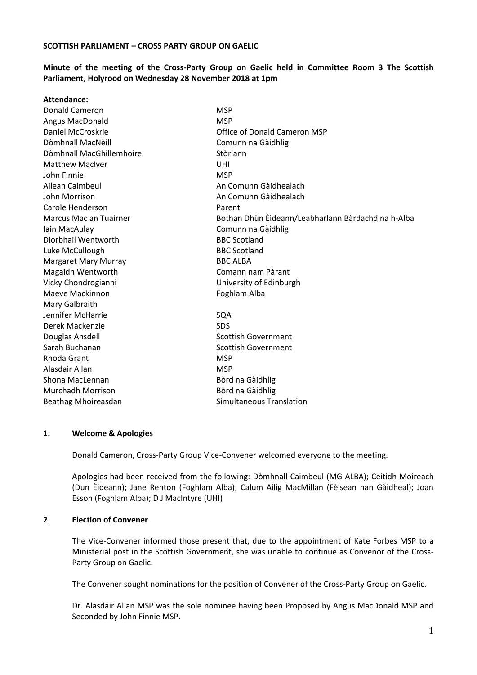## **Minute of the meeting of the Cross-Party Group on Gaelic held in Committee Room 3 The Scottish Parliament, Holyrood on Wednesday 28 November 2018 at 1pm**

| Attendance:              |                                                    |
|--------------------------|----------------------------------------------------|
| <b>Donald Cameron</b>    | <b>MSP</b>                                         |
| Angus MacDonald          | <b>MSP</b>                                         |
| Daniel McCroskrie        | Office of Donald Cameron MSP                       |
| Dòmhnall MacNèill        | Comunn na Gàidhlig                                 |
| Dòmhnall MacGhillemhoire | Stòrlann                                           |
| <b>Matthew MacIver</b>   | UHI                                                |
| John Finnie              | <b>MSP</b>                                         |
| Ailean Caimbeul          | An Comunn Gàidhealach                              |
| John Morrison            | An Comunn Gàidhealach                              |
| Carole Henderson         | Parent                                             |
| Marcus Mac an Tuairner   | Bothan Dhùn Èìdeann/Leabharlann Bàrdachd na h-Alba |
| Iain MacAulay            | Comunn na Gàidhlig                                 |
| Diorbhail Wentworth      | <b>BBC Scotland</b>                                |
| Luke McCullough          | <b>BBC Scotland</b>                                |
| Margaret Mary Murray     | <b>BBC ALBA</b>                                    |
| Magaidh Wentworth        | Comann nam Pàrant                                  |
| Vicky Chondrogianni      | University of Edinburgh                            |
| Maeve Mackinnon          | Foghlam Alba                                       |
| Mary Galbraith           |                                                    |
| Jennifer McHarrie        | SQA                                                |
| Derek Mackenzie          | <b>SDS</b>                                         |
| Douglas Ansdell          | <b>Scottish Government</b>                         |
| Sarah Buchanan           | <b>Scottish Government</b>                         |
| Rhoda Grant              | <b>MSP</b>                                         |
| Alasdair Allan           | <b>MSP</b>                                         |
| Shona MacLennan          | Bòrd na Gàidhlig                                   |
| <b>Murchadh Morrison</b> | Bòrd na Gàidhlig                                   |
| Beathag Mhoireasdan      | Simultaneous Translation                           |

#### **1. Welcome & Apologies**

Donald Cameron, Cross-Party Group Vice-Convener welcomed everyone to the meeting.

Apologies had been received from the following: Dòmhnall Caimbeul (MG ALBA); Ceitidh Moireach (Dun Èideann); Jane Renton (Foghlam Alba); Calum Ailig MacMillan (Fèisean nan Gàidheal); Joan Esson (Foghlam Alba); D J MacIntyre (UHI)

#### **2**. **Election of Convener**

The Vice-Convener informed those present that, due to the appointment of Kate Forbes MSP to a Ministerial post in the Scottish Government, she was unable to continue as Convenor of the Cross-Party Group on Gaelic.

The Convener sought nominations for the position of Convener of the Cross-Party Group on Gaelic.

Dr. Alasdair Allan MSP was the sole nominee having been Proposed by Angus MacDonald MSP and Seconded by John Finnie MSP.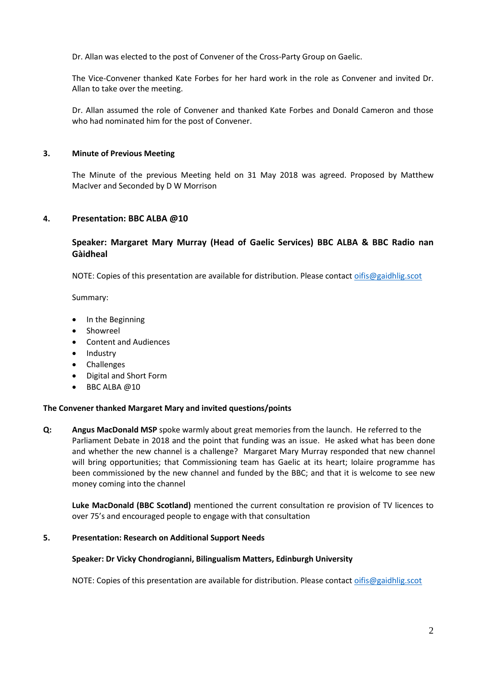Dr. Allan was elected to the post of Convener of the Cross-Party Group on Gaelic.

The Vice-Convener thanked Kate Forbes for her hard work in the role as Convener and invited Dr. Allan to take over the meeting.

Dr. Allan assumed the role of Convener and thanked Kate Forbes and Donald Cameron and those who had nominated him for the post of Convener.

## **3. Minute of Previous Meeting**

The Minute of the previous Meeting held on 31 May 2018 was agreed. Proposed by Matthew MacIver and Seconded by D W Morrison

## **4. Presentation: BBC ALBA @10**

# **Speaker: Margaret Mary Murray (Head of Gaelic Services) BBC ALBA & BBC Radio nan Gàidheal**

NOTE: Copies of this presentation are available for distribution. Please contact [oifis@gaidhlig.scot](mailto:oifis@gaidhlig.scot)

Summary:

- In the Beginning
- **Showreel**
- Content and Audiences
- Industry
- Challenges
- Digital and Short Form
- BBC ALBA @10

#### **The Convener thanked Margaret Mary and invited questions/points**

**Q: Angus MacDonald MSP** spoke warmly about great memories from the launch. He referred to the Parliament Debate in 2018 and the point that funding was an issue. He asked what has been done and whether the new channel is a challenge? Margaret Mary Murray responded that new channel will bring opportunities; that Commissioning team has Gaelic at its heart; Iolaire programme has been commissioned by the new channel and funded by the BBC; and that it is welcome to see new money coming into the channel

**Luke MacDonald (BBC Scotland)** mentioned the current consultation re provision of TV licences to over 75's and encouraged people to engage with that consultation

#### **5. Presentation: Research on Additional Support Needs**

#### **Speaker: Dr Vicky Chondrogianni, Bilingualism Matters, Edinburgh University**

NOTE: Copies of this presentation are available for distribution. Please contact [oifis@gaidhlig.scot](mailto:oifis@gaidhlig.scot)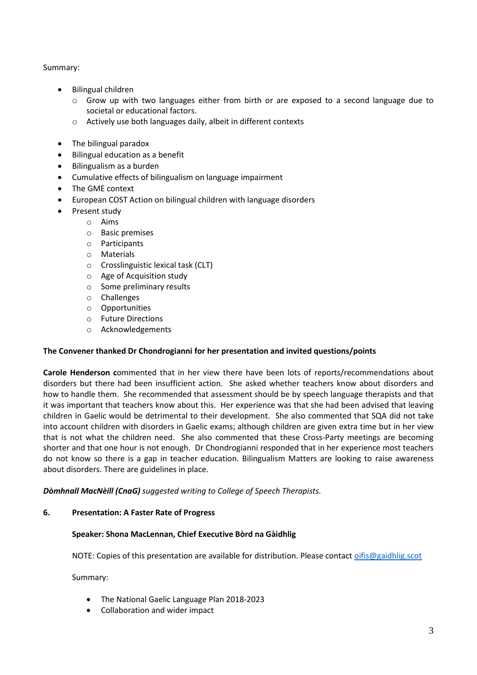## Summary:

- Bilingual children
	- o Grow up with two languages either from birth or are exposed to a second language due to societal or educational factors.
	- o Actively use both languages daily, albeit in different contexts
- The bilingual paradox
- Bilingual education as a benefit
- Bilingualism as a burden
- Cumulative effects of bilingualism on language impairment
- The GME context
- European COST Action on bilingual children with language disorders
- Present study
	- o Aims
	- o Basic premises
	- o Participants
	- o Materials
	- o Crosslinguistic lexical task (CLT)
	- o Age of Acquisition study
	- o Some preliminary results
	- o Challenges
	- o Opportunities
	- o Future Directions
	- o Acknowledgements

# **The Convener thanked Dr Chondrogianni for her presentation and invited questions/points**

**Carole Henderson c**ommented that in her view there have been lots of reports/recommendations about disorders but there had been insufficient action. She asked whether teachers know about disorders and how to handle them. She recommended that assessment should be by speech language therapists and that it was important that teachers know about this. Her experience was that she had been advised that leaving children in Gaelic would be detrimental to their development. She also commented that SQA did not take into account children with disorders in Gaelic exams; although children are given extra time but in her view that is not what the children need. She also commented that these Cross-Party meetings are becoming shorter and that one hour is not enough. Dr Chondrogianni responded that in her experience most teachers do not know so there is a gap in teacher education. Bilingualism Matters are looking to raise awareness about disorders. There are guidelines in place.

*Dòmhnall MacNèill (CnaG) suggested writing to College of Speech Therapists.*

# **6. Presentation: A Faster Rate of Progress**

#### **Speaker: Shona MacLennan, Chief Executive Bòrd na Gàidhlig**

NOTE: Copies of this presentation are available for distribution. Please contact [oifis@gaidhlig.scot](mailto:oifis@gaidhlig.scot)

Summary:

- The National Gaelic Language Plan 2018-2023
- Collaboration and wider impact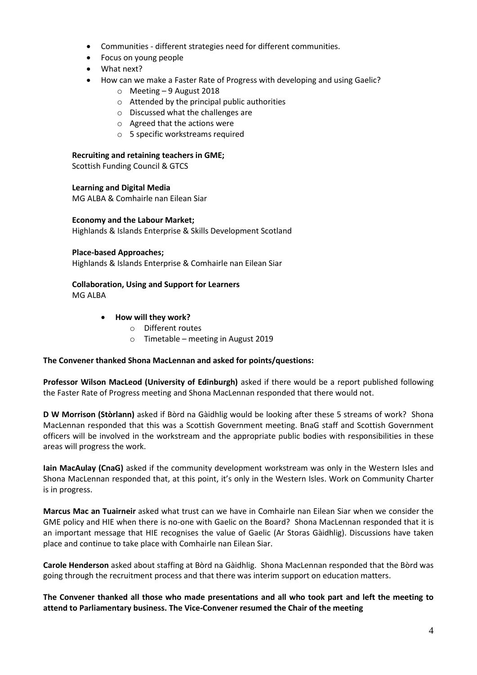- Communities different strategies need for different communities.
- Focus on young people
- What next?
- How can we make a Faster Rate of Progress with developing and using Gaelic?
	- o Meeting 9 August 2018
	- o Attended by the principal public authorities
	- o Discussed what the challenges are
	- o Agreed that the actions were
	- o 5 specific workstreams required

#### **Recruiting and retaining teachers in GME;**

Scottish Funding Council & GTCS

## **Learning and Digital Media**

MG ALBA & Comhairle nan Eilean Siar

## **Economy and the Labour Market;**

Highlands & Islands Enterprise & Skills Development Scotland

#### **Place-based Approaches;**

Highlands & Islands Enterprise & Comhairle nan Eilean Siar

# **Collaboration, Using and Support for Learners**

MG ALBA

#### • **How will they work?**

- o Different routes
- o Timetable meeting in August 2019

#### **The Convener thanked Shona MacLennan and asked for points/questions:**

**Professor Wilson MacLeod (University of Edinburgh)** asked if there would be a report published following the Faster Rate of Progress meeting and Shona MacLennan responded that there would not.

**D W Morrison (Stòrlann)** asked if Bòrd na Gàidhlig would be looking after these 5 streams of work? Shona MacLennan responded that this was a Scottish Government meeting. BnaG staff and Scottish Government officers will be involved in the workstream and the appropriate public bodies with responsibilities in these areas will progress the work.

**Iain MacAulay (CnaG)** asked if the community development workstream was only in the Western Isles and Shona MacLennan responded that, at this point, it's only in the Western Isles. Work on Community Charter is in progress.

**Marcus Mac an Tuairneir** asked what trust can we have in Comhairle nan Eilean Siar when we consider the GME policy and HIE when there is no-one with Gaelic on the Board? Shona MacLennan responded that it is an important message that HIE recognises the value of Gaelic (Ar Storas Gàidhlig). Discussions have taken place and continue to take place with Comhairle nan Eilean Siar.

**Carole Henderson** asked about staffing at Bòrd na Gàidhlig. Shona MacLennan responded that the Bòrd was going through the recruitment process and that there was interim support on education matters.

**The Convener thanked all those who made presentations and all who took part and left the meeting to attend to Parliamentary business. The Vice-Convener resumed the Chair of the meeting**